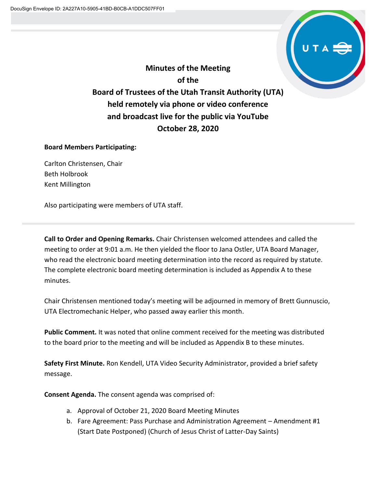

**Minutes of the Meeting of the Board of Trustees of the Utah Transit Authority (UTA) held remotely via phone or video conference and broadcast live for the public via YouTube October 28, 2020**

## **Board Members Participating:**

Carlton Christensen, Chair Beth Holbrook Kent Millington

Also participating were members of UTA staff.

**Call to Order and Opening Remarks.** Chair Christensen welcomed attendees and called the meeting to order at 9:01 a.m. He then yielded the floor to Jana Ostler, UTA Board Manager, who read the electronic board meeting determination into the record as required by statute. The complete electronic board meeting determination is included as Appendix A to these minutes.

Chair Christensen mentioned today's meeting will be adjourned in memory of Brett Gunnuscio, UTA Electromechanic Helper, who passed away earlier this month.

**Public Comment.** It was noted that online comment received for the meeting was distributed to the board prior to the meeting and will be included as Appendix B to these minutes.

**Safety First Minute.** Ron Kendell, UTA Video Security Administrator, provided a brief safety message.

**Consent Agenda.** The consent agenda was comprised of:

- a. Approval of October 21, 2020 Board Meeting Minutes
- b. Fare Agreement: Pass Purchase and Administration Agreement Amendment #1 (Start Date Postponed) (Church of Jesus Christ of Latter-Day Saints)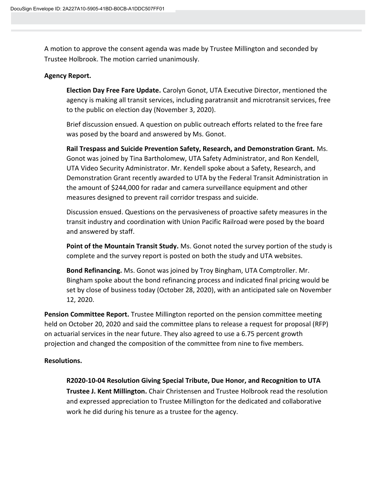A motion to approve the consent agenda was made by Trustee Millington and seconded by Trustee Holbrook. The motion carried unanimously.

#### **Agency Report.**

**Election Day Free Fare Update.** Carolyn Gonot, UTA Executive Director, mentioned the agency is making all transit services, including paratransit and microtransit services, free to the public on election day (November 3, 2020).

Brief discussion ensued. A question on public outreach efforts related to the free fare was posed by the board and answered by Ms. Gonot.

**Rail Trespass and Suicide Prevention Safety, Research, and Demonstration Grant.** Ms. Gonot was joined by Tina Bartholomew, UTA Safety Administrator, and Ron Kendell, UTA Video Security Administrator. Mr. Kendell spoke about a Safety, Research, and Demonstration Grant recently awarded to UTA by the Federal Transit Administration in the amount of \$244,000 for radar and camera surveillance equipment and other measures designed to prevent rail corridor trespass and suicide.

Discussion ensued. Questions on the pervasiveness of proactive safety measures in the transit industry and coordination with Union Pacific Railroad were posed by the board and answered by staff.

**Point of the Mountain Transit Study.** Ms. Gonot noted the survey portion of the study is complete and the survey report is posted on both the study and UTA websites.

**Bond Refinancing.** Ms. Gonot was joined by Troy Bingham, UTA Comptroller. Mr. Bingham spoke about the bond refinancing process and indicated final pricing would be set by close of business today (October 28, 2020), with an anticipated sale on November 12, 2020.

**Pension Committee Report.** Trustee Millington reported on the pension committee meeting held on October 20, 2020 and said the committee plans to release a request for proposal (RFP) on actuarial services in the near future. They also agreed to use a 6.75 percent growth projection and changed the composition of the committee from nine to five members.

## **Resolutions.**

**R2020-10-04 Resolution Giving Special Tribute, Due Honor, and Recognition to UTA Trustee J. Kent Millington.** Chair Christensen and Trustee Holbrook read the resolution and expressed appreciation to Trustee Millington for the dedicated and collaborative work he did during his tenure as a trustee for the agency.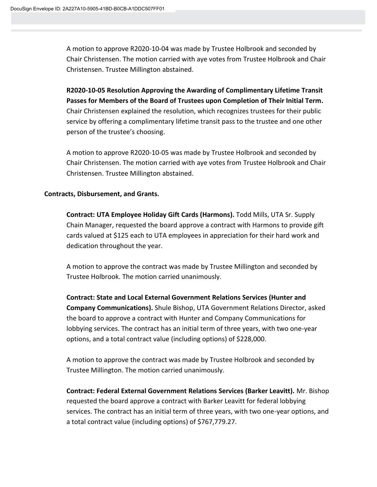A motion to approve R2020-10-04 was made by Trustee Holbrook and seconded by Chair Christensen. The motion carried with aye votes from Trustee Holbrook and Chair Christensen. Trustee Millington abstained.

**R2020-10-05 Resolution Approving the Awarding of Complimentary Lifetime Transit Passes for Members of the Board of Trustees upon Completion of Their Initial Term.**  Chair Christensen explained the resolution, which recognizes trustees for their public service by offering a complimentary lifetime transit pass to the trustee and one other person of the trustee's choosing.

A motion to approve R2020-10-05 was made by Trustee Holbrook and seconded by Chair Christensen. The motion carried with aye votes from Trustee Holbrook and Chair Christensen. Trustee Millington abstained.

## **Contracts, Disbursement, and Grants.**

**Contract: UTA Employee Holiday Gift Cards (Harmons).** Todd Mills, UTA Sr. Supply Chain Manager, requested the board approve a contract with Harmons to provide gift cards valued at \$125 each to UTA employees in appreciation for their hard work and dedication throughout the year.

A motion to approve the contract was made by Trustee Millington and seconded by Trustee Holbrook. The motion carried unanimously.

**Contract: State and Local External Government Relations Services (Hunter and Company Communications).** Shule Bishop, UTA Government Relations Director, asked the board to approve a contract with Hunter and Company Communications for lobbying services. The contract has an initial term of three years, with two one-year options, and a total contract value (including options) of \$228,000.

A motion to approve the contract was made by Trustee Holbrook and seconded by Trustee Millington. The motion carried unanimously.

**Contract: Federal External Government Relations Services (Barker Leavitt).** Mr. Bishop requested the board approve a contract with Barker Leavitt for federal lobbying services. The contract has an initial term of three years, with two one-year options, and a total contract value (including options) of \$767,779.27.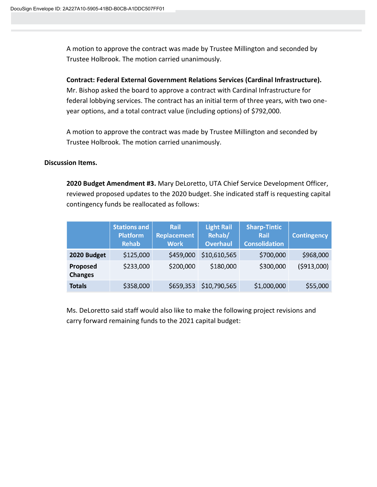A motion to approve the contract was made by Trustee Millington and seconded by Trustee Holbrook. The motion carried unanimously.

**Contract: Federal External Government Relations Services (Cardinal Infrastructure).**  Mr. Bishop asked the board to approve a contract with Cardinal Infrastructure for federal lobbying services. The contract has an initial term of three years, with two oneyear options, and a total contract value (including options) of \$792,000.

A motion to approve the contract was made by Trustee Millington and seconded by Trustee Holbrook. The motion carried unanimously.

#### **Discussion Items.**

**2020 Budget Amendment #3.** Mary DeLoretto, UTA Chief Service Development Officer, reviewed proposed updates to the 2020 budget. She indicated staff is requesting capital contingency funds be reallocated as follows:

|                            | <b>Stations and</b><br><b>Platform</b><br><b>Rehab</b> | Rail<br><b>Replacement</b><br><b>Work</b> | <b>Light Rail</b><br>Rehab/<br><b>Overhaul</b> | <b>Sharp-Tintic</b><br>Rail<br><b>Consolidation</b> | <b>Contingency</b> |
|----------------------------|--------------------------------------------------------|-------------------------------------------|------------------------------------------------|-----------------------------------------------------|--------------------|
| 2020 Budget                | \$125,000                                              | \$459,000                                 | \$10,610,565                                   | \$700,000                                           | \$968,000          |
| Proposed<br><b>Changes</b> | \$233,000                                              | \$200,000                                 | \$180,000                                      | \$300,000                                           | ( \$913,000)       |
| <b>Totals</b>              | \$358,000                                              | \$659,353                                 | \$10,790,565                                   | \$1,000,000                                         | \$55,000           |

Ms. DeLoretto said staff would also like to make the following project revisions and carry forward remaining funds to the 2021 capital budget: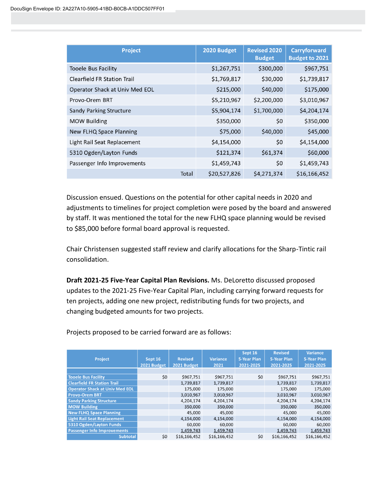| Project                            | 2020 Budget  | <b>Revised 2020</b><br><b>Budget</b> | <b>Carryforward</b><br><b>Budget to 2021</b> |
|------------------------------------|--------------|--------------------------------------|----------------------------------------------|
| <b>Tooele Bus Facility</b>         | \$1,267,751  | \$300,000                            | \$967,751                                    |
| <b>Clearfield FR Station Trail</b> | \$1,769,817  | \$30,000                             | \$1,739,817                                  |
| Operator Shack at Univ Med EOL     | \$215,000    | \$40,000                             | \$175,000                                    |
| Provo-Orem BRT                     | \$5,210,967  | \$2,200,000                          | \$3,010,967                                  |
| Sandy Parking Structure            | \$5,904,174  | \$1,700,000                          | \$4,204,174                                  |
| <b>MOW Building</b>                | \$350,000    | \$0                                  | \$350,000                                    |
| New FLHQ Space Planning            | \$75,000     | \$40,000                             | \$45,000                                     |
| Light Rail Seat Replacement        | \$4,154,000  | \$0                                  | \$4,154,000                                  |
| 5310 Ogden/Layton Funds            | \$121,374    | \$61,374                             | \$60,000                                     |
| Passenger Info Improvements        | \$1,459,743  | \$0                                  | \$1,459,743                                  |
| Total                              | \$20,527,826 | \$4,271,374                          | \$16,166,452                                 |

Discussion ensued. Questions on the potential for other capital needs in 2020 and adjustments to timelines for project completion were posed by the board and answered by staff. It was mentioned the total for the new FLHQ space planning would be revised to \$85,000 before formal board approval is requested.

Chair Christensen suggested staff review and clarify allocations for the Sharp-Tintic rail consolidation.

**Draft 2021-25 Five-Year Capital Plan Revisions.** Ms. DeLoretto discussed proposed updates to the 2021-25 Five-Year Capital Plan, including carrying forward requests for ten projects, adding one new project, redistributing funds for two projects, and changing budgeted amounts for two projects.

| <b>Project</b>                        | Sept 16<br>2021 Budget | <b>Revised</b><br>2021 Budget | <b>Variance</b><br>2021 | Sept 16<br>5-Year Plan<br>2021-2025 | <b>Revised</b><br><b>5-Year Plan</b><br>2021-2025 | <b>Variance</b><br>5-Year Plan<br>2021-2025 |
|---------------------------------------|------------------------|-------------------------------|-------------------------|-------------------------------------|---------------------------------------------------|---------------------------------------------|
|                                       |                        |                               |                         |                                     |                                                   |                                             |
| <b>Tooele Bus Facility</b>            | \$0                    | \$967.751                     | \$967.751               | \$0                                 | \$967.751                                         | \$967,751                                   |
| <b>Clearfield FR Station Trail</b>    |                        | 1,739,817                     | 1,739,817               |                                     | 1,739,817                                         | 1,739,817                                   |
| <b>Operator Shack at Univ Med EOL</b> |                        | 175,000                       | 175,000                 |                                     | 175,000                                           | 175,000                                     |
| <b>Provo-Orem BRT</b>                 |                        | 3,010,967                     | 3,010,967               |                                     | 3,010,967                                         | 3,010,967                                   |
| <b>Sandy Parking Structure</b>        |                        | 4.204.174                     | 4.204.174               |                                     | 4.204.174                                         | 4,204,174                                   |
| <b>MOW Building</b>                   |                        | 350,000                       | 350,000                 |                                     | 350,000                                           | 350,000                                     |
| <b>New FLHQ Space Planning</b>        |                        | 45,000                        | 45,000                  |                                     | 45,000                                            | 45,000                                      |
| <b>Light Rail Seat Replacement</b>    |                        | 4,154,000                     | 4,154,000               |                                     | 4,154,000                                         | 4,154,000                                   |
| 5310 Ogden/Layton Funds               |                        | 60,000                        | 60,000                  |                                     | 60,000                                            | 60,000                                      |
| <b>Passenger Info Improvements</b>    |                        | 1,459,743                     | 1,459,743               |                                     | 1,459,743                                         | 1,459,743                                   |
| <b>Subtotal</b>                       | \$0                    | \$16,166,452                  | \$16,166,452            | \$0                                 | \$16,166,452                                      | \$16,166,452                                |

Projects proposed to be carried forward are as follows: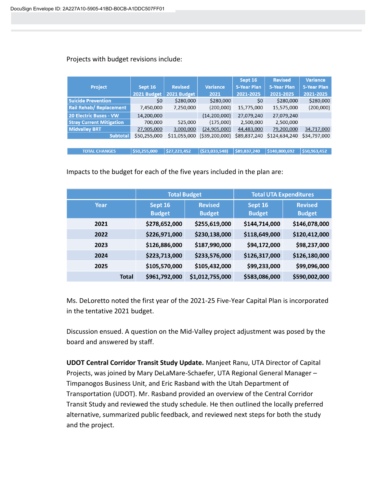## Projects with budget revisions include:

|                                 |              |                |                 | Sept 16            | <b>Revised</b> | Variance           |
|---------------------------------|--------------|----------------|-----------------|--------------------|----------------|--------------------|
| <b>Project</b>                  | Sept 16      | <b>Revised</b> | <b>Variance</b> | <b>5-Year Plan</b> | 5-Year Plan    | <b>5-Year Plan</b> |
|                                 | 2021 Budget  | 2021 Budget    | 2021            | 2021-2025          | 2021-2025      | 2021-2025          |
| <b>Suicide Prevention</b>       | \$0          | \$280,000      | \$280,000       | \$0                | \$280,000      | \$280,000          |
| <b>Rail Rehab/ Replacement</b>  | 7,450,000    | 7,250,000      | (200,000)       | 15,775,000         | 15,575,000     | (200,000)          |
| <b>20 Electric Buses - VW</b>   | 14,200,000   |                | (14, 200, 000)  | 27,079,240         | 27,079,240     |                    |
| <b>Stray Current Mitigation</b> | 700,000      | 525,000        | (175,000)       | 2,500,000          | 2,500,000      |                    |
| <b>Midvalley BRT</b>            | 27,905,000   | 3,000,000      | (24,905,000)    | 44,483,000         | 79,200,000     | 34,717,000         |
| <b>Subtotal</b>                 | \$50,255,000 | \$11,055,000   | (\$39,200,000)  | \$89,837,240       | \$124,634,240  | \$34,797,000       |
|                                 |              |                |                 |                    |                |                    |
| <b>TOTAL CHANGES</b>            | \$50,255,000 | \$27,221,452   | (523, 033, 548) | \$89,837,240       | \$140,800,692  | \$50,963,452       |

Impacts to the budget for each of the five years included in the plan are:

|              |                          | <b>Total Budget</b>             |                          | <b>Total UTA Expenditures</b>   |
|--------------|--------------------------|---------------------------------|--------------------------|---------------------------------|
| Year         | Sept 16<br><b>Budget</b> | <b>Revised</b><br><b>Budget</b> | Sept 16<br><b>Budget</b> | <b>Revised</b><br><b>Budget</b> |
| 2021         | \$278,652,000            | \$255,619,000                   | \$144,714,000            | \$146,078,000                   |
| 2022         | \$226,971,000            | \$230,138,000                   | \$118,649,000            | \$120,412,000                   |
| 2023         | \$126,886,000            | \$187,990,000                   | \$94,172,000             | \$98,237,000                    |
| 2024         | \$223,713,000            | \$233,576,000                   | \$126,317,000            | \$126,180,000                   |
| 2025         | \$105,570,000            | \$105,432,000                   | \$99,233,000             | \$99,096,000                    |
| <b>Total</b> | \$961,792,000            | \$1,012,755,000                 | \$583,086,000            | \$590,002,000                   |

Ms. DeLoretto noted the first year of the 2021-25 Five-Year Capital Plan is incorporated in the tentative 2021 budget.

Discussion ensued. A question on the Mid-Valley project adjustment was posed by the board and answered by staff.

**UDOT Central Corridor Transit Study Update.** Manjeet Ranu, UTA Director of Capital Projects, was joined by Mary DeLaMare-Schaefer, UTA Regional General Manager – Timpanogos Business Unit, and Eric Rasband with the Utah Department of Transportation (UDOT). Mr. Rasband provided an overview of the Central Corridor Transit Study and reviewed the study schedule. He then outlined the locally preferred alternative, summarized public feedback, and reviewed next steps for both the study and the project.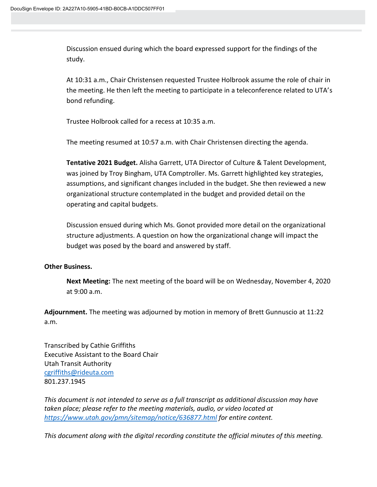Discussion ensued during which the board expressed support for the findings of the study.

At 10:31 a.m., Chair Christensen requested Trustee Holbrook assume the role of chair in the meeting. He then left the meeting to participate in a teleconference related to UTA's bond refunding.

Trustee Holbrook called for a recess at 10:35 a.m.

The meeting resumed at 10:57 a.m. with Chair Christensen directing the agenda.

**Tentative 2021 Budget.** Alisha Garrett, UTA Director of Culture & Talent Development, was joined by Troy Bingham, UTA Comptroller. Ms. Garrett highlighted key strategies, assumptions, and significant changes included in the budget. She then reviewed a new organizational structure contemplated in the budget and provided detail on the operating and capital budgets.

Discussion ensued during which Ms. Gonot provided more detail on the organizational structure adjustments. A question on how the organizational change will impact the budget was posed by the board and answered by staff.

## **Other Business.**

**Next Meeting:** The next meeting of the board will be on Wednesday, November 4, 2020 at 9:00 a.m.

**Adjournment.** The meeting was adjourned by motion in memory of Brett Gunnuscio at 11:22 a.m.

Transcribed by Cathie Griffiths Executive Assistant to the Board Chair Utah Transit Authority [cgriffiths@rideuta.com](mailto:cgriffiths@rideuta.com) 801.237.1945

*This document is not intended to serve as a full transcript as additional discussion may have taken place; please refer to the meeting materials, audio, or video located at <https://www.utah.gov/pmn/sitemap/notice/636877.html> for entire content.*

*This document along with the digital recording constitute the official minutes of this meeting.*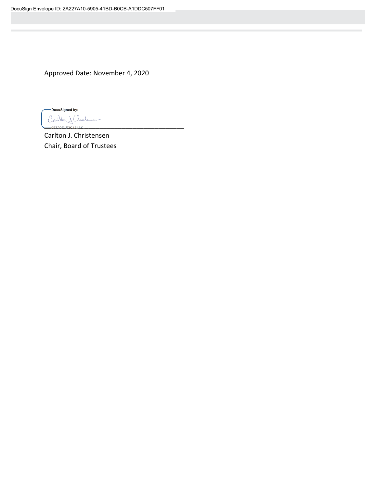Approved Date: November 4, 2020

-DocuSigned by: Carlton Christonien  $-9$  F  $729$  F  $1$  F  $2$  C  $184$  A C

Carlton J. Christensen Chair, Board of Trustees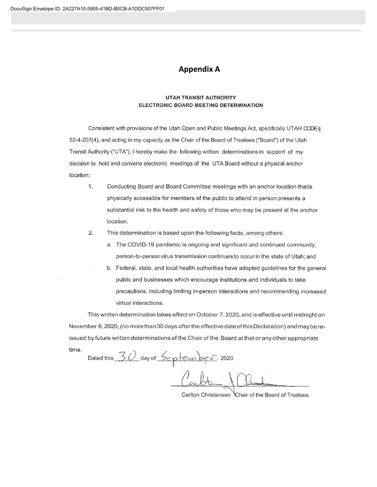## **Appendix A**

#### **UTAH TRANSIT AUTHORITY** ELECTRONIC BOARD MEETING DETERMINATION

Consistent with provisions of the Utah Open and Public Meetings Act, specifically UTAH CODE § 52-4-207(4), and acting in my capacity as the Chair of the Board of Trustees ("Board") of the Utah Transit Authority ("UTA"), I hereby make the following written determinations in support of my decision to hold and convene electronic meetings of the UTA Board without a physical anchor location:

- 1. Conducting Board and Board Committee meetings with an anchor location thatis physically accessible for members of the public to attend in person presents a substantial risk to the health and safety of those who may be present at the anchor location.
- $2.$ This determination is based upon the following facts, among others:
	- a. The COVID-19 pandemic is ongoing and significant and continued community, person-to-person virus transmission continues to occur in the state of Utah; and
	- b. Federal, state, and local health authorities have adopted guidelines for the general public and businesses which encourage institutions and individuals to take precautions, including limiting in-person interactions and recommending increased virtual interactions.

This written determination takes effect on October 7, 2020, and is effective until midnight on November 6, 2020, (no more than 30 days after the effective date of this Declaration) and may be reissued by future written determinations of the Chair of the Board at that or any other appropriate time.

Dated this 30 day of September 2020.

Carlton Christensen Chair of the Board of Trustees